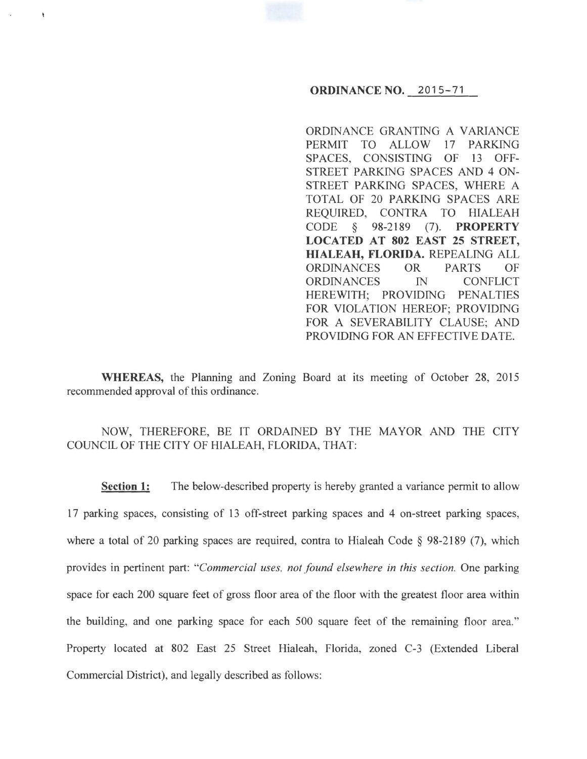## **ORDINANCE NO.** 2015-71

ORDINANCE GRANTING A VARIANCE PERMIT TO ALLOW 17 PARKING SPACES, CONSISTING OF 13 OFF-STREET PARKING SPACES AND 4 ON-STREET PARKING SPACES, WHERE A TOTAL OF 20 PARKING SPACES ARE REQUIRED, CONTRA TO HIALEAH CODE § 98-2189 (7). **PROPERTY LOCATED AT 802 EAST 25 STREET, HIALEAH, FLORIDA.** REPEALING ALL ORDINANCES OR PARTS OF ORDINANCES IN CONFLICT HEREWITH; PROVIDING PENALTIES FOR VIOLATION HEREOF; PROVIDING FOR A SEVERABILITY CLAUSE; AND PROVIDING FOR AN EFFECTIVE DATE.

**WHEREAS,** the Planning and Zoning Board at its meeting of October 28, 2015 recommended approval of this ordinance.

ł

# NOW, THEREFORE, BE IT ORDAINED BY THE MAYOR AND THE CITY COUNCIL OF THE CITY OF HIALEAH, FLORIDA, THAT:

**Section 1:** The below-described property is hereby granted a variance permit to allow 17 parking spaces, consisting of 13 off-street parking spaces and 4 on-street parking spaces, where a total of 20 parking spaces are required, contra to Hialeah Code § 98-2189 (7), which provides in pertinent part: *"Commercial uses. not found elsewhere in this section.* One parking space for each 200 square feet of gross floor area of the floor with the greatest floor area within the building, and one parking space for each 500 square feet of the remaining floor area." Property located at 802 East 25 Street Hialeah, Florida, zoned C-3 (Extended Liberal Commercial District), and legally described as follows: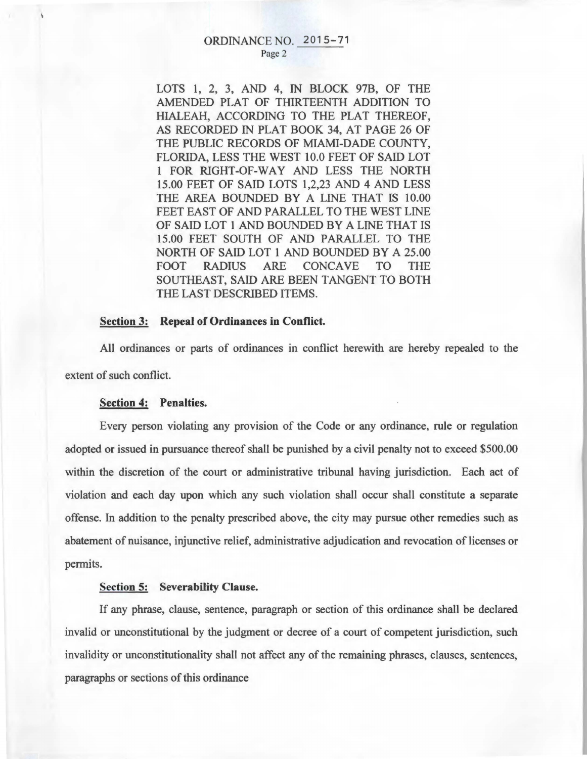#### ORDINANCE NO. 2015-71 Page 2

LOTS 1, 2, 3, AND 4, IN BLOCK 97B, OF THE AMENDED PLAT OF THIRTEENTH ADDITION TO HIALEAH, ACCORDING TO THE PLAT THEREOF, AS RECORDED IN PLAT BOOK 34, AT PAGE 26 OF THE PUBLIC RECORDS OF MIAMI-DADE COUNTY, FLORIDA, LESS THE WEST 10.0 FEET OF SAID LOT 1 FOR RIGHT-OF-WAY AND LESS THE NORTH 15.00 FEET OF SAID LOTS 1,2,23 AND 4 AND LESS THE AREA BOUNDED BY A LINE THAT IS 10.00 FEET EAST OF AND PARALLEL TO THE WEST LINE OF SAID LOT 1 AND BOUNDED BY A LINE THAT IS 15.00 FEET SOUTH OF AND PARALLEL TO THE NORTH OF SAID LOT 1 AND BOUNDED BY A 25.00 FOOT RADIUS ARE CONCAVE TO THE SOUTHEAST, SAID ARE BEEN TANGENT TO BOTH THE LAST DESCRIBED ITEMS.

#### Section 3: Repeal of Ordinances in Conflict.

All ordinances or parts of ordinances in conflict herewith are hereby repealed to the extent of such conflict.

# Section 4: Penalties.

Every person violating any provision of the Code or any ordinance, rule or regulation adopted or issued in pursuance thereof shall be punished by a civil penalty not to exceed \$500.00 within the discretion of the court or administrative tribunal having jurisdiction. Each act of violation and each day upon which any such violation shall occur shall constitute a separate offense. In addition to the penalty prescribed above, the city may pursue other remedies such as abatement of nuisance, injunctive relief, administrative adjudication and revocation of licenses or permits.

### Section 5: Severability Clause.

If any phrase, clause, sentence, paragraph or section of this ordinance shall be declared invalid or unconstitutional by the judgment or decree of a court of competent jurisdiction, such invalidity or unconstitutionality shall not affect any of the remaining phrases, clauses, sentences, paragraphs or sections of this ordinance